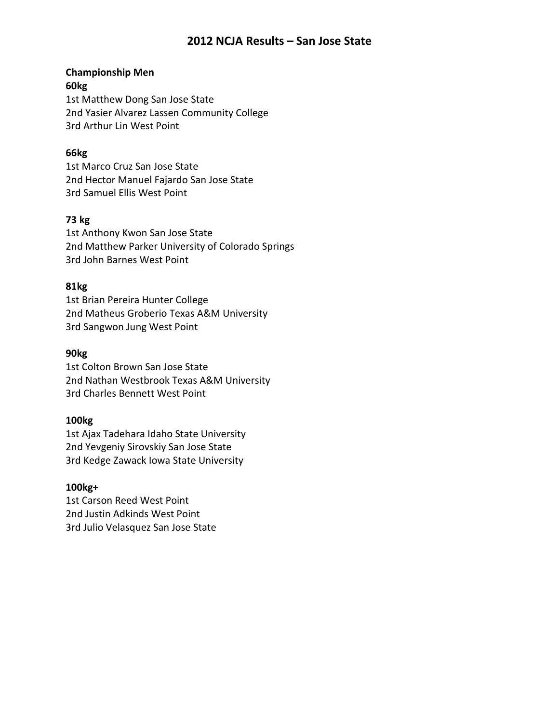# **Championship Men**

**60kg** 1st Matthew Dong San Jose State 2nd Yasier Alvarez Lassen Community College 3rd Arthur Lin West Point

### **66kg**

1st Marco Cruz San Jose State 2nd Hector Manuel Fajardo San Jose State 3rd Samuel Ellis West Point

### **73 kg**

1st Anthony Kwon San Jose State 2nd Matthew Parker University of Colorado Springs 3rd John Barnes West Point

### **81kg**

1st Brian Pereira Hunter College 2nd Matheus Groberio Texas A&M University 3rd Sangwon Jung West Point

### **90kg**

1st Colton Brown San Jose State 2nd Nathan Westbrook Texas A&M University 3rd Charles Bennett West Point

### **100kg**

1st Ajax Tadehara Idaho State University 2nd Yevgeniy Sirovskiy San Jose State 3rd Kedge Zawack Iowa State University

### **100kg+**

1st Carson Reed West Point 2nd Justin Adkinds West Point 3rd Julio Velasquez San Jose State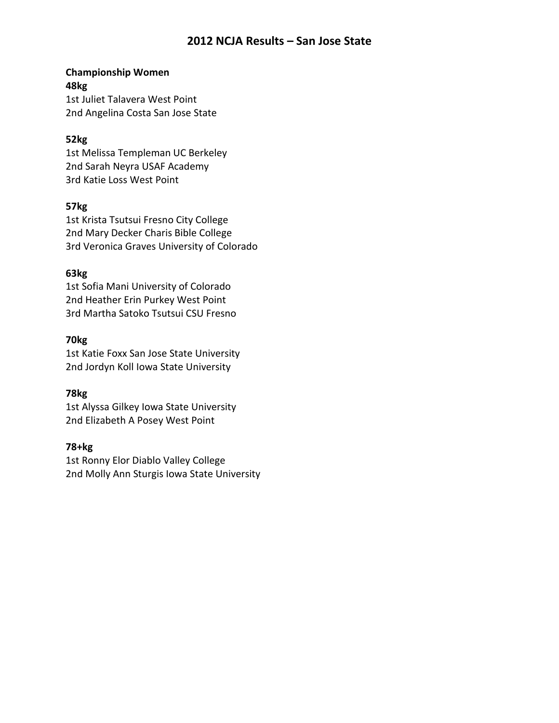### **Championship Women 48kg** 1st Juliet Talavera West Point

2nd Angelina Costa San Jose State

### **52kg**

1st Melissa Templeman UC Berkeley 2nd Sarah Neyra USAF Academy 3rd Katie Loss West Point

### **57kg**

1st Krista Tsutsui Fresno City College 2nd Mary Decker Charis Bible College 3rd Veronica Graves University of Colorado

### **63kg**

1st Sofia Mani University of Colorado 2nd Heather Erin Purkey West Point 3rd Martha Satoko Tsutsui CSU Fresno

### **70kg**

1st Katie Foxx San Jose State University 2nd Jordyn Koll Iowa State University

## **78kg**

1st Alyssa Gilkey Iowa State University 2nd Elizabeth A Posey West Point

## **78+kg**

1st Ronny Elor Diablo Valley College 2nd Molly Ann Sturgis Iowa State University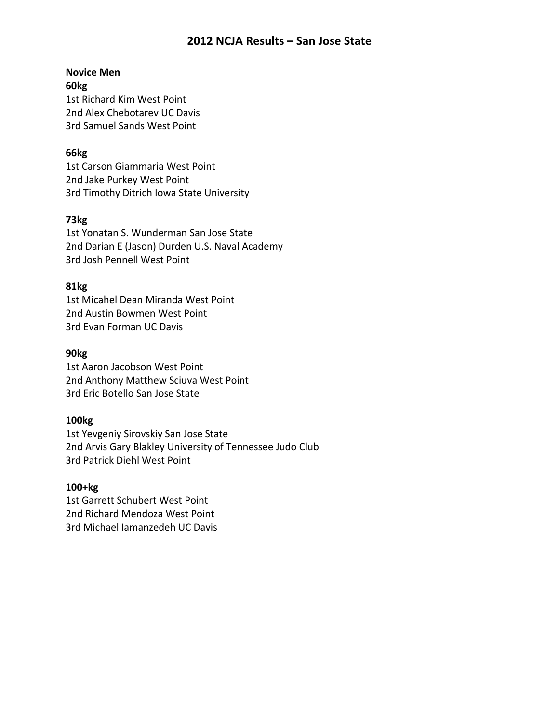# **Novice Men**

**60kg** 1st Richard Kim West Point 2nd Alex Chebotarev UC Davis 3rd Samuel Sands West Point

## **66kg**

1st Carson Giammaria West Point 2nd Jake Purkey West Point 3rd Timothy Ditrich Iowa State University

# **73kg**

1st Yonatan S. Wunderman San Jose State 2nd Darian E (Jason) Durden U.S. Naval Academy 3rd Josh Pennell West Point

## **81kg**

1st Micahel Dean Miranda West Point 2nd Austin Bowmen West Point 3rd Evan Forman UC Davis

# **90kg**

1st Aaron Jacobson West Point 2nd Anthony Matthew Sciuva West Point 3rd Eric Botello San Jose State

## **100kg**

1st Yevgeniy Sirovskiy San Jose State 2nd Arvis Gary Blakley University of Tennessee Judo Club 3rd Patrick Diehl West Point

## **100+kg**

1st Garrett Schubert West Point 2nd Richard Mendoza West Point 3rd Michael Iamanzedeh UC Davis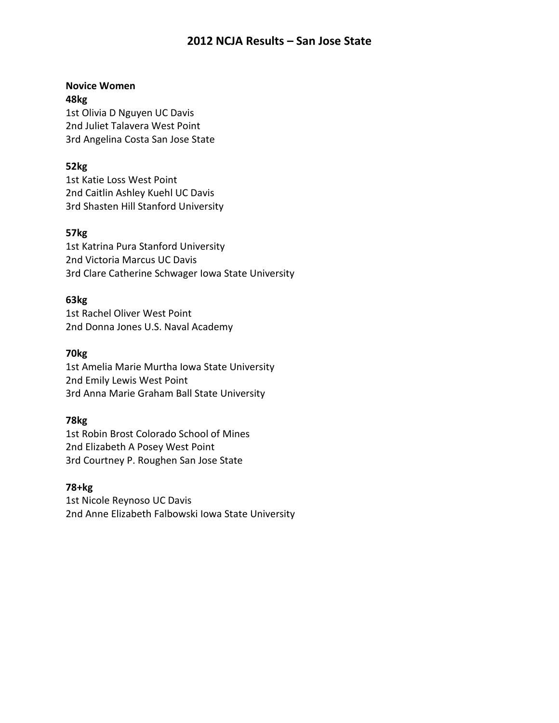# **Novice Women 48kg**

1st Olivia D Nguyen UC Davis 2nd Juliet Talavera West Point 3rd Angelina Costa San Jose State

## **52kg**

1st Katie Loss West Point 2nd Caitlin Ashley Kuehl UC Davis 3rd Shasten Hill Stanford University

## **57kg**

1st Katrina Pura Stanford University 2nd Victoria Marcus UC Davis 3rd Clare Catherine Schwager Iowa State University

## **63kg**

1st Rachel Oliver West Point 2nd Donna Jones U.S. Naval Academy

### **70kg**

1st Amelia Marie Murtha Iowa State University 2nd Emily Lewis West Point 3rd Anna Marie Graham Ball State University

## **78kg**

1st Robin Brost Colorado School of Mines 2nd Elizabeth A Posey West Point 3rd Courtney P. Roughen San Jose State

## **78+kg**

1st Nicole Reynoso UC Davis 2nd Anne Elizabeth Falbowski Iowa State University